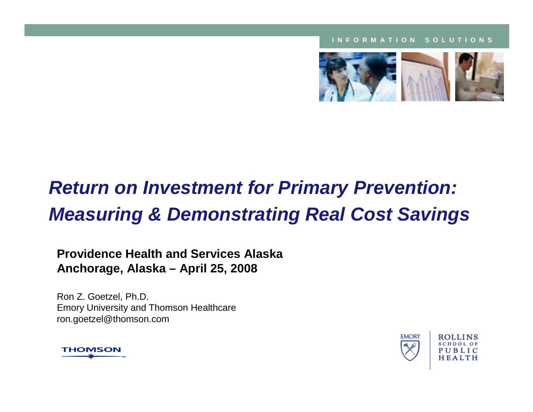#### **INFORMATION SOLUTIONS**



## *Return on Investment for Primary Prevention: Measuring & Demonstrating Real Cost Savings*

#### **Providence Health and Services AlaskaAnchorage, Alaska – April 25, 2008**

Ron Z. Goetzel, Ph.D. Emory University and Thomson Healthcare ron.goetzel@thomson.com



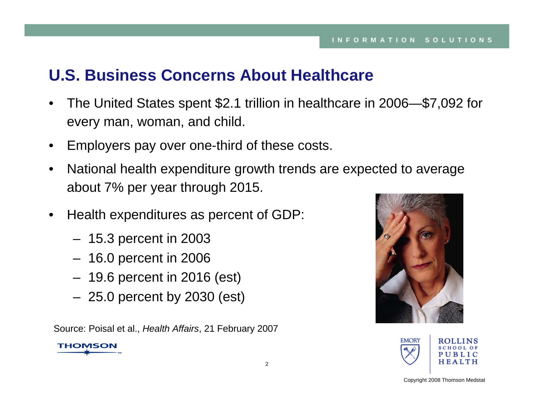## **U.S. Business Concerns About Healthcare**

- $\bullet$  The United States spent \$2.1 trillion in healthcare in 2006—\$7,092 for every man, woman, and child.
- •Employers pay over one-third of these costs.
- $\bullet$  National health expenditure growth trends are expected to average about 7% per year through 2015.
- $\bullet$  Health expenditures as percent of GDP:
	- 15.3 percent in 2003
	- 16.0 percent in 2006
	- 19.6 percent in 2016 (est)
	- 25.0 percent by 2030 (est)

Source: Poisal et al., *Health Affairs*, 21 February 2007





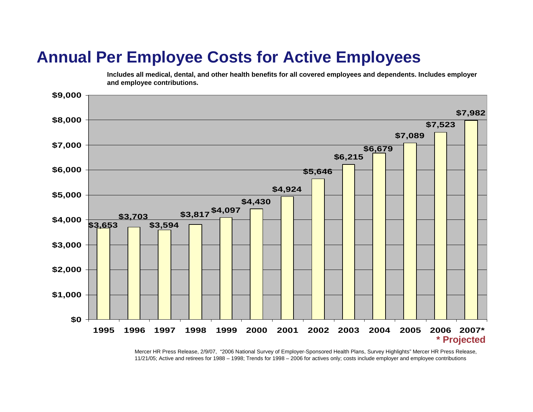## **Annual Per Employee Costs for Active Employees**

**Includes all medical, dental, and other health benefits for all covered employees and dependents. Includes employer and employee contributions.**



Mercer HR Press Release, 2/9/07, "2006 National Survey of Employer-Sponsored Health Plans, Survey Highlights" Mercer HR Press Release, 11/21/05; Active and retirees for 1988 – 1998; Trends for 1998 – 2006 for actives only; costs include employer and employee contributions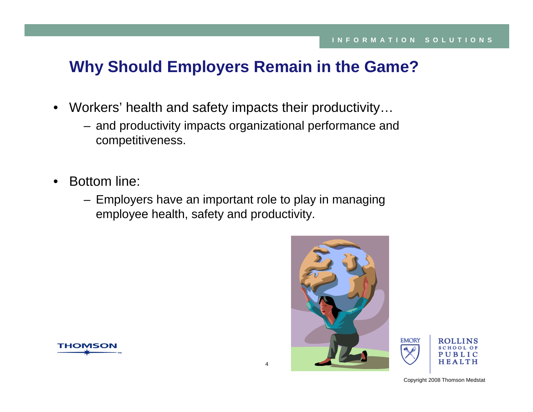## **Why Should Employers Remain in the Game?**

- Workers' health and safety impacts their productivity…
	- and productivity impacts organizational performance and competitiveness.
- • Bottom line:
	- Employers have an important role to play in managing employee health, safety and productivity.





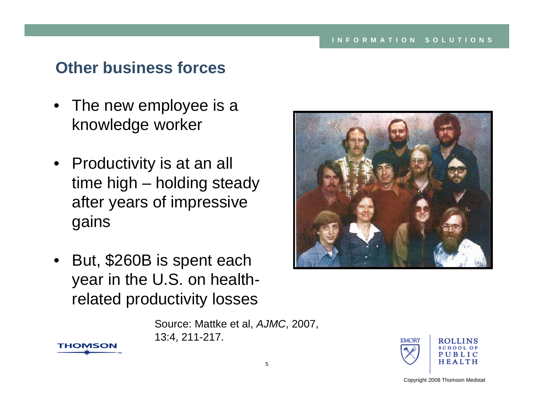## **Other business forces**

- The new employee is a knowledge worker
- Productivity is at an all time high – holding steady after years of impressive gains
- • But, \$260B is spent each year in the U.S. on healthrelated productivity losses

**THOMSON** 

Source: Mattke et al, *AJMC*, 2007, 13:4, 211-217.



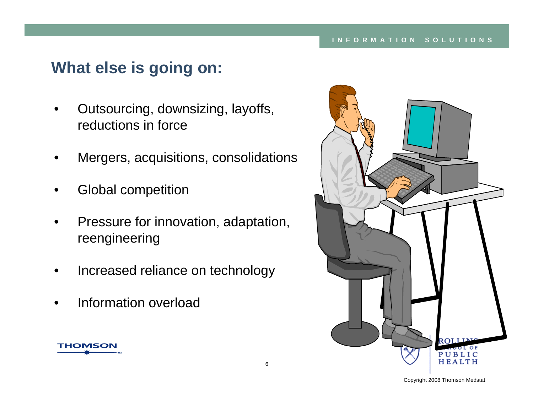## **What else is going on:**

- • Outsourcing, downsizing, layoffs, reductions in force
- •Mergers, acquisitions, consolidations
- •Global competition
- • Pressure for innovation, adaptation, reengineering
- •Increased reliance on technology
- •Information overload



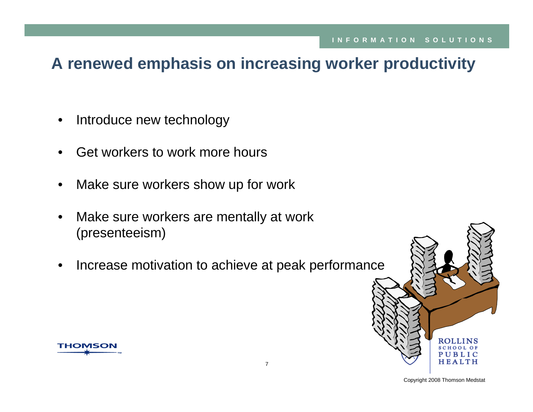## **A renewed emphasis on increasing worker productivity**

- $\bullet$ Introduce new technology
- •Get workers to work more hours
- •Make sure workers show up for work
- • Make sure workers are mentally at work (presenteeism)
- •Increase motivation to achieve at peak performance



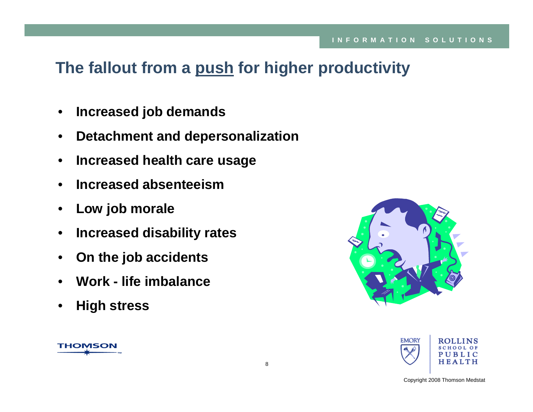## **The fallout from a push for higher productivity**

- •**Increased job demands**
- $\bullet$ **Detachment and depersonalization**
- $\bullet$ **Increased health care usage**
- •**Increased absenteeism**
- $\bullet$ **Low job morale**
- •**Increased disability rates**
- $\bullet$ **On the job accidents**
- •**Work - life imbalance**
- •**High stress**

**THOMSON** 



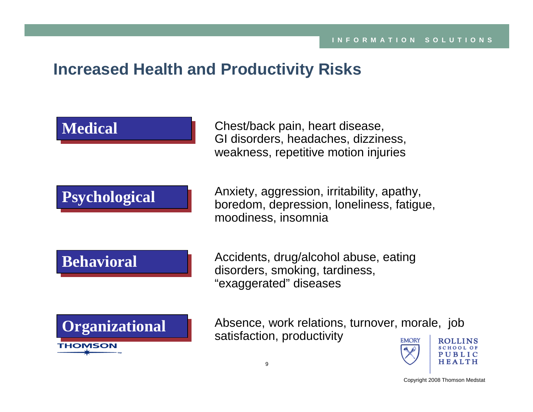## **Increased Health and Productivity Risks**

**Medical Medical**

Chest/back pain, heart disease, GI disorders, headaches, dizziness, weakness, repetitive motion injuries

## **Psychological Psychological**

Anxiety, aggression, irritability, apathy, boredom, depression, loneliness, fatigue, moodiness, insomnia

### **Behavioral Behavioral**

Accidents, drug/alcohol abuse, eating disorders, smoking, tardiness, "exaggerated" diseases



Absence, work relations, turnover, morale, job satisfaction, productivity**EMORY** 

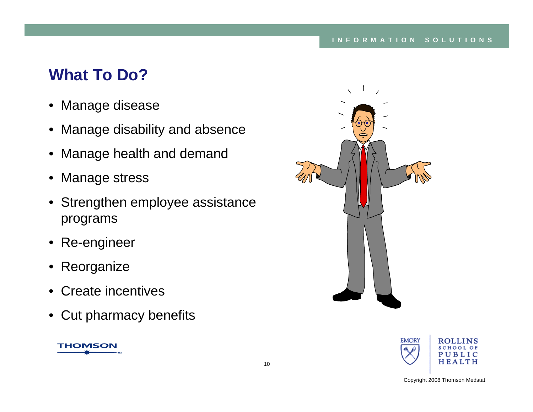## **What To Do?**

- Manage disease
- Manage disability and absence
- Manage health and demand
- Manage stress
- Strengthen employee assistance programs
- Re-engineer
- Reorganize
- Create incentives
- Cut pharmacy benefits





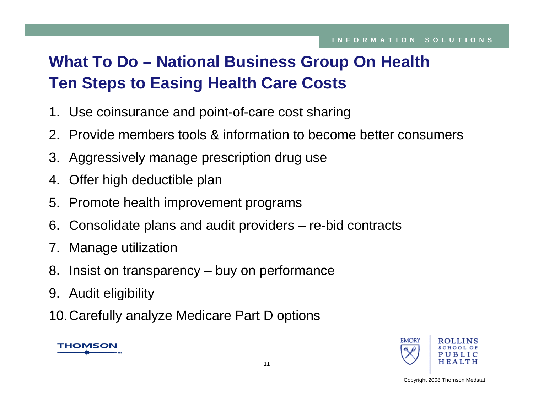## **What To Do – National Business Group On Health Ten Steps to Easing Health Care Costs**

- 1. Use coinsurance and point-of-care cost sharing
- 2. Provide members tools & information to become better consumers
- 3. Aggressively manage prescription drug use
- 4. Offer high deductible plan
- 5. Promote health improvement programs
- 6. Consolidate plans and audit providers re-bid contracts
- 7. Manage utilization
- 8. Insist on transparency buy on performance
- 9. Audit eligibility
- 10.Carefully analyze Medicare Part D options



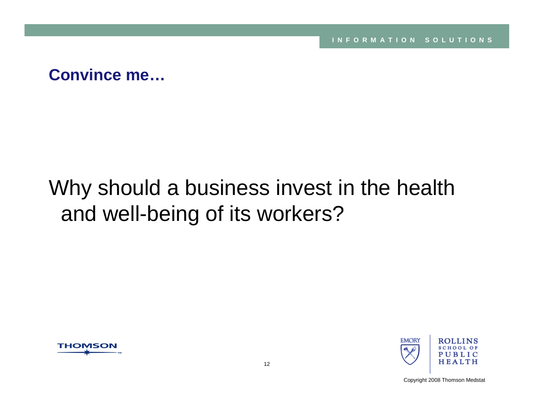**INFORMATION SOLUTIONS**

**Convince me…**

## Why should a business invest in the health and well-being of its workers?



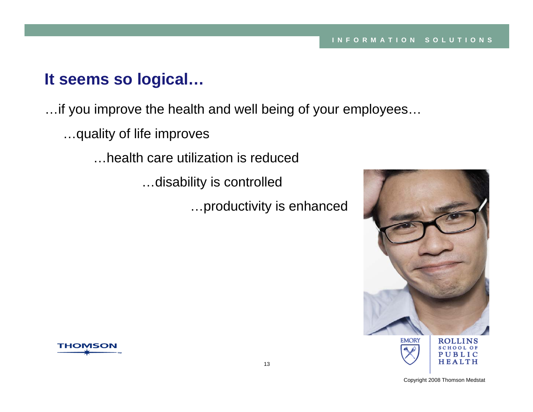## **It seems so logical…**

…if you improve the health and well being of your employees…

…quality of life improves

…health care utilization is reduced

…disability is controlled

…productivity is enhanced





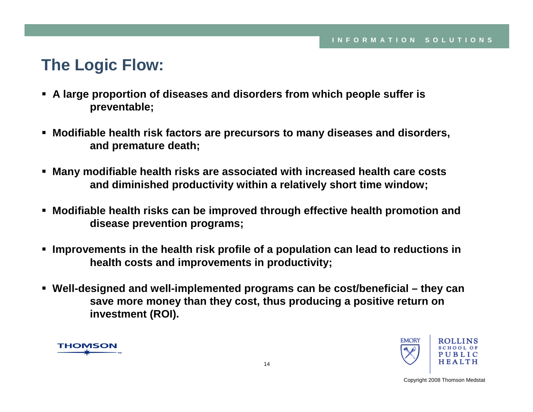## **The Logic Flow:**

- **A large proportion of diseases and disorders from which people suffer is preventable;**
- **Modifiable health risk factors are precursors to many diseases and disorders, and premature death;**
- **Many modifiable health risks are associated with increased health care costs and diminished productivity within a relatively short time window;**
- $\blacksquare$  **Modifiable health risks can be improved through effective health promotion and disease prevention programs;**
- **Improvements in the health risk profile of a population can lead to reductions in health costs and improvements in productivity;**
- **Well-designed and well-implemented programs can be cost/beneficial – they can save more money than they cost, thus producing a positive return on investment (ROI).**



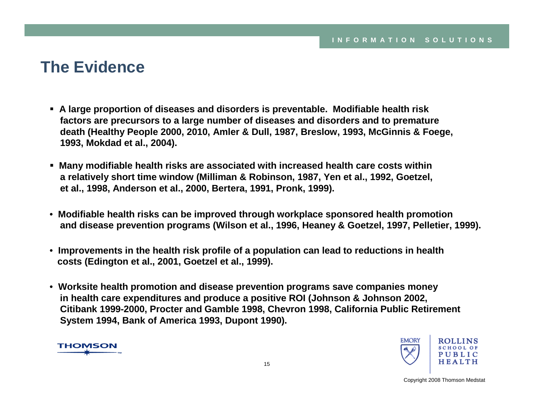## **The Evidence**

- **A large proportion of diseases and disorders is preventable. Modifiable health risk factors are precursors to a large number of diseases and disorders and to premature death (Healthy People 2000, 2010, Amler & Dull, 1987, Breslow, 1993, McGinnis & Foege, 1993, Mokdad et al., 2004).**
- **Many modifiable health risks are associated with increased health care costs within a relatively short time window (Milliman & Robinson, 1987, Yen et al., 1992, Goetzel, et al., 1998, Anderson et al., 2000, Bertera, 1991, Pronk, 1999).**
- **Modifiable health risks can be improved through workplace sponsored health promotion and disease prevention programs (Wilson et al., 1996, Heaney & Goetzel, 1997, Pelletier, 1999).**
- **Improvements in the health risk profile of a population can lead to reductions in health costs (Edington et al., 2001, Goetzel et al., 1999).**
- **Worksite health promotion and disease prevention programs save companies money in health care expenditures and produce a positive ROI (Johnson & Johnson 2002, Citibank 1999-2000, Procter and Gamble 1998, Chevron 1998, California Public Retirement System 1994, Bank of America 1993, Dupont 1990).**



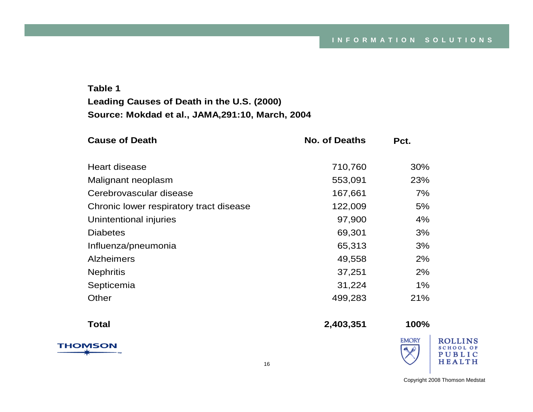#### **Table 1Leading Causes of Death in the U.S. (2000) Source: Mokdad et al., JAMA,291:10, March, 2004**

| <b>Cause of Death</b>                   | <b>No. of Deaths</b> | Pct.                                  |  |
|-----------------------------------------|----------------------|---------------------------------------|--|
| Heart disease                           | 710,760              | 30%                                   |  |
| Malignant neoplasm                      | 553,091              | 23%                                   |  |
| Cerebrovascular disease                 | 167,661              | 7%                                    |  |
| Chronic lower respiratory tract disease | 122,009              | 5%                                    |  |
| Unintentional injuries                  | 97,900               | 4%                                    |  |
| <b>Diabetes</b>                         | 69,301               | 3%                                    |  |
| Influenza/pneumonia                     | 65,313               | 3%                                    |  |
| <b>Alzheimers</b>                       | 49,558               | 2%                                    |  |
| <b>Nephritis</b>                        | 37,251               | 2%                                    |  |
| Septicemia                              | 31,224               | $1\%$                                 |  |
| Other                                   | 499,283              | 21%                                   |  |
| <b>Total</b>                            | 2,403,351            | 100%                                  |  |
| <b>THOMSON</b>                          |                      | <b>EMORY</b><br>$\mathbf{A}$ $\Delta$ |  |

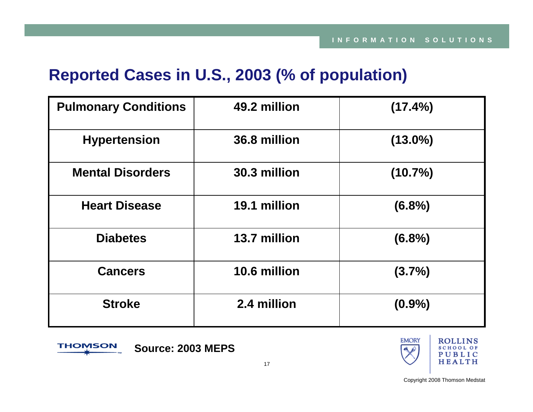## **Reported Cases in U.S., 2003 (% of population)**

| <b>Pulmonary Conditions</b> | 49.2 million | (17.4%)    |
|-----------------------------|--------------|------------|
| <b>Hypertension</b>         | 36.8 million | $(13.0\%)$ |
| <b>Mental Disorders</b>     | 30.3 million | (10.7%)    |
| <b>Heart Disease</b>        | 19.1 million | $(6.8\%)$  |
| <b>Diabetes</b>             | 13.7 million | $(6.8\%)$  |
| <b>Cancers</b>              | 10.6 million | $(3.7\%)$  |
| <b>Stroke</b>               | 2.4 million  | $(0.9\%)$  |



**Source: 2003 MEPS**

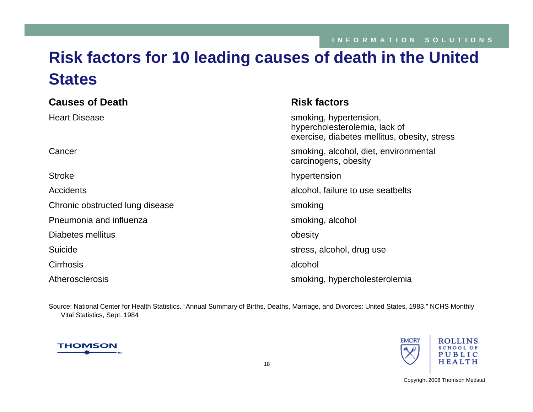## **Risk factors for 10 leading causes of death in the United States**

| <b>Causes of Death</b>          | <b>Risk factors</b>                                                                                     |
|---------------------------------|---------------------------------------------------------------------------------------------------------|
| <b>Heart Disease</b>            | smoking, hypertension,<br>hypercholesterolemia, lack of<br>exercise, diabetes mellitus, obesity, stress |
| Cancer                          | smoking, alcohol, diet, environmental<br>carcinogens, obesity                                           |
| <b>Stroke</b>                   | hypertension                                                                                            |
| <b>Accidents</b>                | alcohol, failure to use seatbelts                                                                       |
| Chronic obstructed lung disease | smoking                                                                                                 |
| Pneumonia and influenza         | smoking, alcohol                                                                                        |
| Diabetes mellitus               | obesity                                                                                                 |
| Suicide                         | stress, alcohol, drug use                                                                               |
| <b>Cirrhosis</b>                | alcohol                                                                                                 |
| Atherosclerosis                 | smoking, hypercholesterolemia                                                                           |

Source: National Center for Health Statistics. "Annual Summary of Births, Deaths, Marriage, and Divorces: United States, 1983." NCHS Monthly Vital Statistics, Sept. 1984



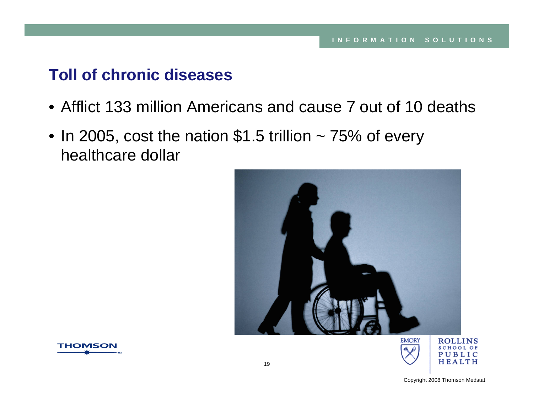## **Toll of chronic diseases**

- Afflict 133 million Americans and cause 7 out of 10 deaths
- In 2005, cost the nation  $$1.5$  trillion  $\sim$  75% of every healthcare dollar





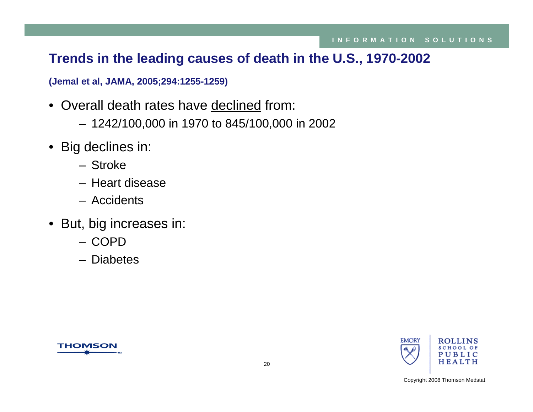### **Trends in the leading causes of death in the U.S., 1970-2002**

**(Jemal et al, JAMA, 2005;294:1255-1259)**

- Overall death rates have declined from:
	- 1242/100,000 in 1970 to 845/100,000 in 2002
- Big declines in:
	- Stroke
	- Heart disease
	- Accidents
- But, big increases in:
	- COPD
	- Diabetes



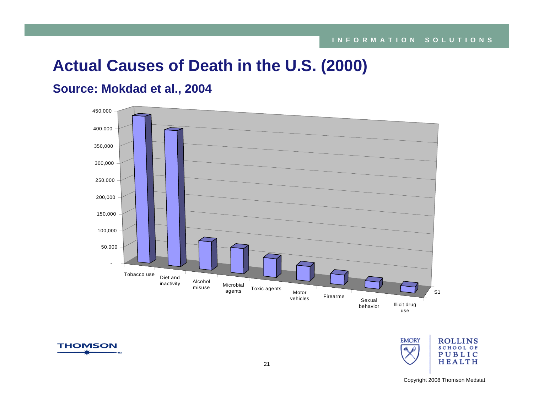## **Actual Causes of Death in the U.S. (2000)**

#### **Source: Mokdad et al., 2004**





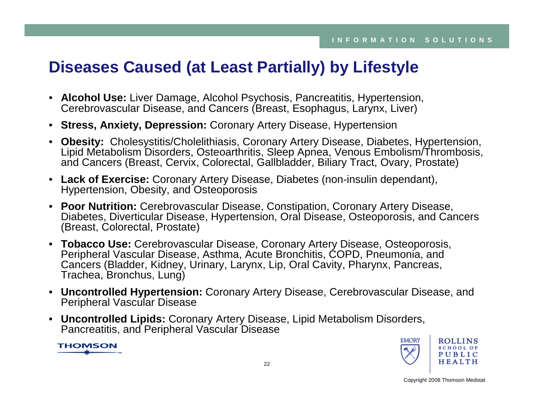## **Diseases Caused (at Least Partially) by Lifestyle**

- **Alcohol Use:** Liver Damage, Alcohol Psychosis, Pancreatitis, Hypertension, Cerebrovascular Disease, and Cancers (Breast, Esophagus, Larynx, Liver)
- **Stress, Anxiety, Depression:** Coronary Artery Disease, Hypertension
- **Obesity:** Cholesystitis/Cholelithiasis, Coronary Artery Disease, Diabetes, Hypertension, Lipid Metabolism Disorders, Osteoarthritis, Sleep Apnea, Venous Embolism/Thrombosis, and Cancers (Breast, Cervix, Colorectal, Gallbladder, Biliary Tract, Ovary, Prostate)
- **Lack of Exercise:** Coronary Artery Disease, Diabetes (non-insulin dependant), Hypertension, Obesity, and Osteoporosis
- **Poor Nutrition:** Cerebrovascular Disease, Constipation, Coronary Artery Disease, Diabetes, Diverticular Disease, Hypertension, Oral Disease, Osteoporosis, and Cancers (Breast, Colorectal, Prostate)
- **Tobacco Use:** Cerebrovascular Disease, Coronary Artery Disease, Osteoporosis, Peripheral Vascular Disease, Asthma, Acute Bronchitis, COPD, Pneumonia, and Cancers (Bladder, Kidney, Urinary, Larynx, Lip, Oral Cavity, Pharynx, Pancreas, Trachea, Bronchus, Lung)
- **Uncontrolled Hypertension:** Coronary Artery Disease, Cerebrovascular Disease, and Peripheral Vascular Disease
- **Uncontrolled Lipids:** Coronary Artery Disease, Lipid Metabolism Disorders, Pancreatitis, and Peripheral Vascular Disease

**THOMSON** 

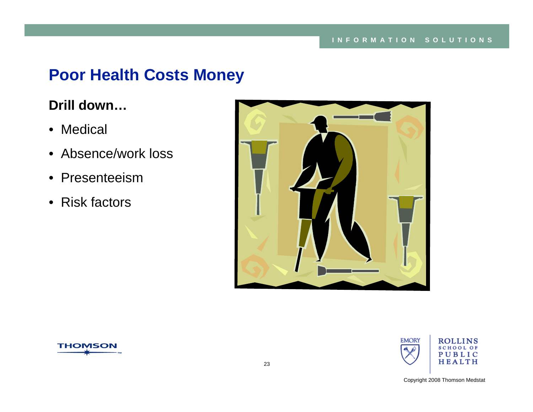## **Poor Health Costs Money**

## **Drill down…**

- Medical
- Absence/work loss
- Presenteeism
- Risk factors





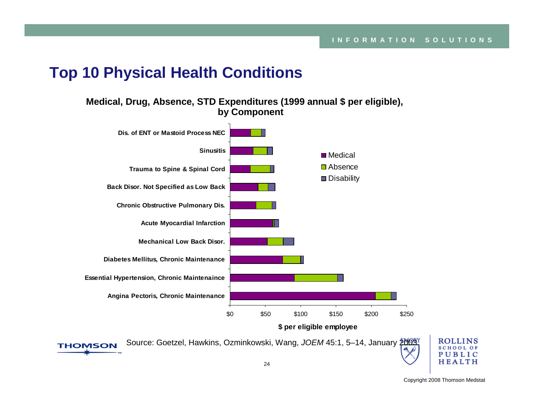### **Top 10 Physical Health Conditions**

**THOMSON** 

**Medical, Drug, Absence, STD Expenditures (1999 annual \$ per eligible), by Component**





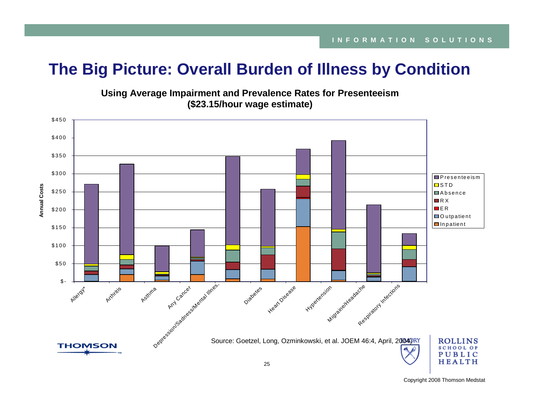## **The Big Picture: Overall Burden of Illness by Condition**



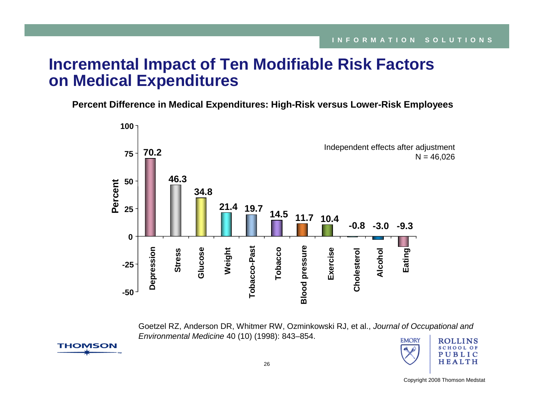## **Incremental Impact of Ten Modifiable Risk Factors on Medical Expenditures**

**Percent Difference in Medical Expenditures: High-Risk versus Lower-Risk Employees** 



Goetzel RZ, Anderson DR, Whitmer RW, Ozminkowski RJ, et al., *Journal of Occupational and Environmental Medicine* 40 (10) (1998): 843–854.



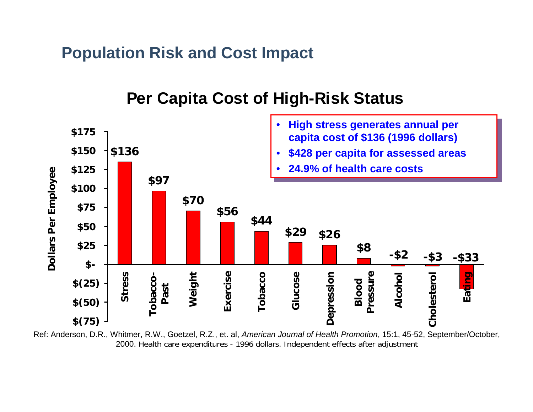**Population Risk and Cost Impact**



## **Per Capita Cost of High-Risk Status**

Ref: Anderson, D.R., Whitmer, R.W., Goetzel, R.Z., et. al, *American Journal of Health Promotion*, 15:1, 45-52, September/October, 2000. Health care expenditures - 1996 dollars. Independent effects after adjustment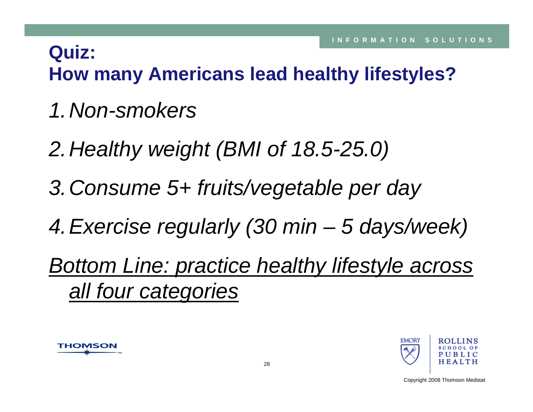## **Quiz: How many Americans lead healthy lifestyles?**

- *1.Non-smokers*
- *2.Healthy weight (BMI of 18.5-25.0)*
- *3.Consume 5+ fruits/vegetable per day*
- *4.Exercise regularly (30 min – 5 days/week)*

*Bottom Line: practice healthy lifestyle across all four categories*



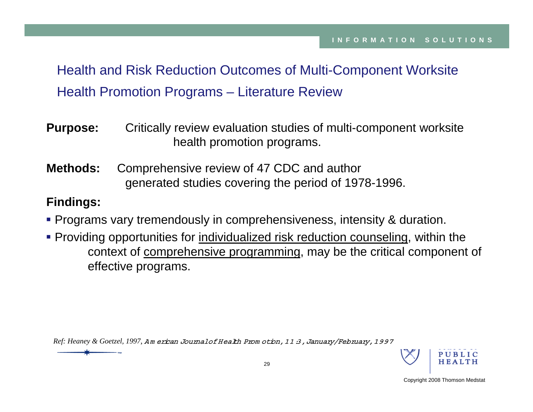Health and Risk Reduction Outcomes of Multi-Component Worksite Health Promotion Programs – Literature Review

- **Purpose:** Critically review evaluation studies of multi-component worksite health promotion programs.
- **Methods:** Comprehensive review of 47 CDC and author generated studies covering the period of 1978-1996.

#### **Findings:**

- Programs vary tremendously in comprehensiveness, intensity & duration.
- **Providing opportunities for individualized risk reduction counseling, within the** context of comprehensive programming, may be the critical component of effective programs.

*Ref: Heaney & Goetzel, 1997,* <sup>A</sup> <sup>m</sup> erican Journal of Health Prom otion, 11:3, January/February, 1997

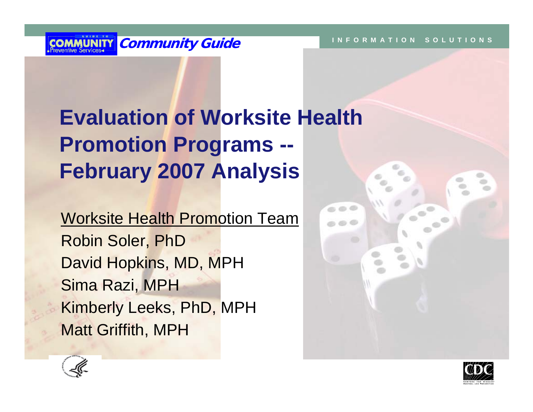

# **Evaluation of Worksite Health Promotion Programs -- February 2007 Analysis**

Worksite Health Promotion Team Robin Soler, PhD David Hopkins, MD, MPH Sima Razi, MPH Kimberly Leeks, PhD, MPH Matt Griffith, MPH





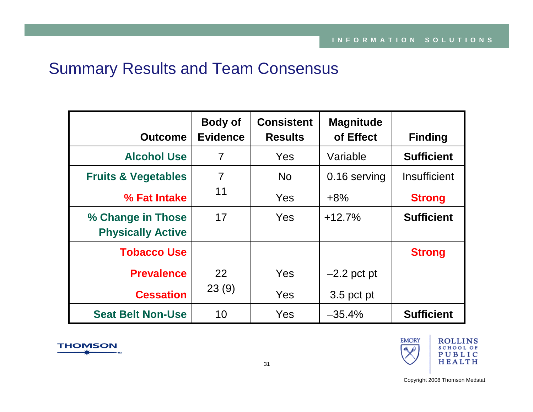## Summary Results and Team Consensus

|                                | <b>Body of</b>  | <b>Consistent</b> | <b>Magnitude</b> |                   |
|--------------------------------|-----------------|-------------------|------------------|-------------------|
| <b>Outcome</b>                 | <b>Evidence</b> | <b>Results</b>    | of Effect        | <b>Finding</b>    |
| <b>Alcohol Use</b>             | $\overline{7}$  | <b>Yes</b>        | Variable         | <b>Sufficient</b> |
| <b>Fruits &amp; Vegetables</b> | $\overline{7}$  | <b>No</b>         | 0.16 serving     | Insufficient      |
| % Fat Intake                   | 11              | <b>Yes</b>        | $+8%$            | <b>Strong</b>     |
| % Change in Those              | 17              | <b>Yes</b>        | $+12.7%$         | <b>Sufficient</b> |
| <b>Physically Active</b>       |                 |                   |                  |                   |
| <b>Tobacco Use</b>             |                 |                   |                  | <b>Strong</b>     |
| <b>Prevalence</b>              | 22              | Yes               | $-2.2$ pct pt    |                   |
| <b>Cessation</b>               | 23(9)           | Yes               | 3.5 pct pt       |                   |
| <b>Seat Belt Non-Use</b>       | 10              | Yes               | $-35.4%$         | <b>Sufficient</b> |



**THOMSON**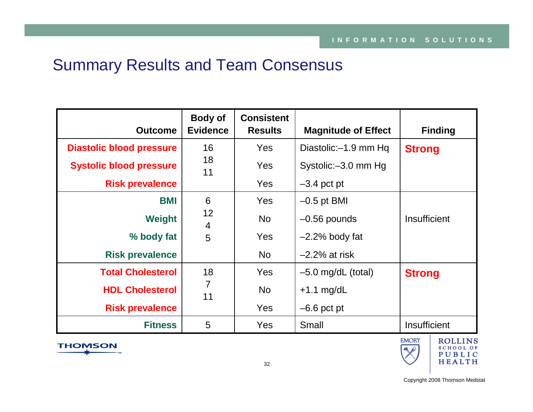## Summary Results and Team Consensus

| <b>Outcome</b>                  | <b>Body of</b><br><b>Evidence</b> | <b>Consistent</b><br><b>Results</b> | <b>Magnitude of Effect</b> | <b>Finding</b> |
|---------------------------------|-----------------------------------|-------------------------------------|----------------------------|----------------|
| <b>Diastolic blood pressure</b> | 16                                | <b>Yes</b>                          | Diastolic: - 1.9 mm Hq     | <b>Strong</b>  |
| <b>Systolic blood pressure</b>  | 18<br>11                          | Yes                                 | Systolic: - 3.0 mm Hg      |                |
| <b>Risk prevalence</b>          |                                   | <b>Yes</b>                          | $-3.4$ pct pt              |                |
| <b>BMI</b>                      | 6                                 | <b>Yes</b>                          | $-0.5$ pt BMI              |                |
| <b>Weight</b>                   | 12<br>4                           | <b>No</b>                           | $-0.56$ pounds             | Insufficient   |
| % body fat                      | 5                                 | <b>Yes</b>                          | $-2.2\%$ body fat          |                |
| <b>Risk prevalence</b>          |                                   | <b>No</b>                           | $-2.2\%$ at risk           |                |
| <b>Total Cholesterol</b>        | 18                                | <b>Yes</b>                          | $-5.0$ mg/dL (total)       | <b>Strong</b>  |
| <b>HDL Cholesterol</b>          | $\overline{7}$<br>11              | <b>No</b>                           | $+1.1$ mg/dL               |                |
| <b>Risk prevalence</b>          |                                   | <b>Yes</b>                          | $-6.6$ pct pt              |                |
| <b>Fitness</b>                  | 5                                 | Yes                                 | Small                      | Insufficient   |



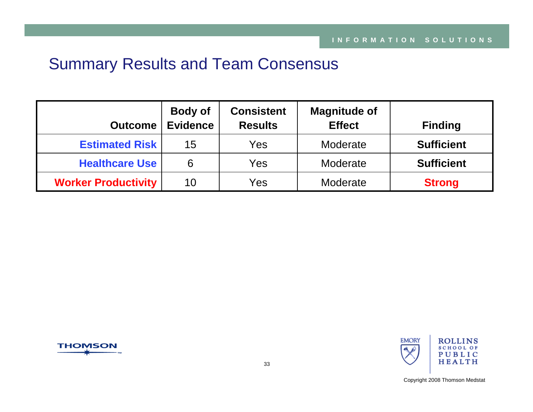## Summary Results and Team Consensus

| <b>Outcome</b>             | <b>Body of</b><br><b>Evidence</b> | <b>Consistent</b><br><b>Results</b> | <b>Magnitude of</b><br><b>Effect</b> | <b>Finding</b>    |
|----------------------------|-----------------------------------|-------------------------------------|--------------------------------------|-------------------|
| <b>Estimated Risk</b>      | 15                                | Yes                                 | Moderate                             | <b>Sufficient</b> |
| <b>Healthcare Use</b>      | 6                                 | Yes                                 | Moderate                             | <b>Sufficient</b> |
| <b>Worker Productivity</b> | 10                                | Yes                                 | Moderate                             | <b>Strong</b>     |



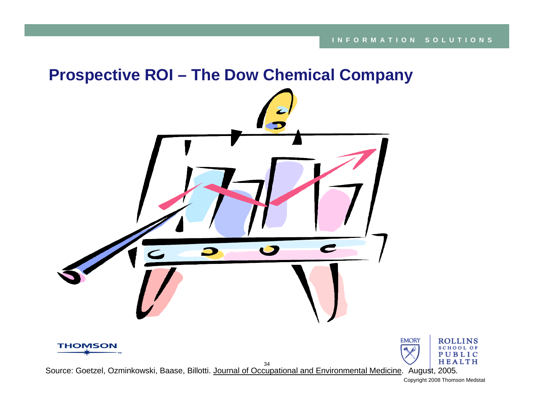## **Prospective ROI – The Dow Chemical Company**



34 Source: Goetzel, Ozminkowski, Baase, Billotti. Journal of Occupational and Environmental Medicine. August, 2005*.*

ROLLINS

SCHOOL OF PUBLIC HEALTH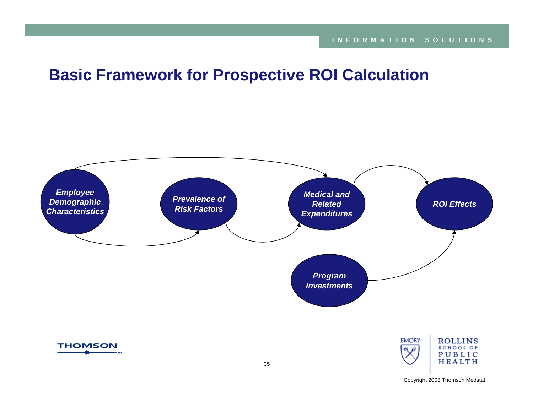## **Basic Framework for Prospective ROI Calculation**

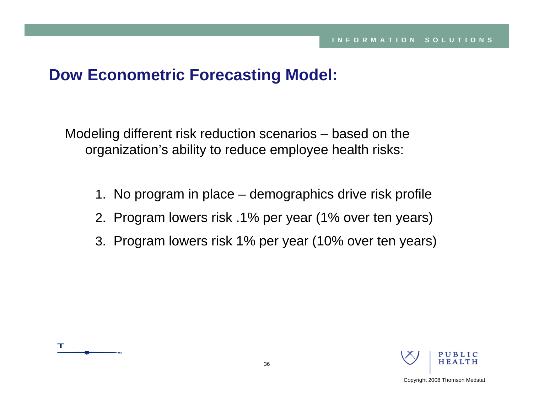## **Dow Econometric Forecasting Model:**

Modeling different risk reduction scenarios – based on the organization's ability to reduce employee health risks:

- 1. No program in place demographics drive risk profile
- 2. Program lowers risk .1% per year (1% over ten years)
- 3. Program lowers risk 1% per year (10% over ten years)



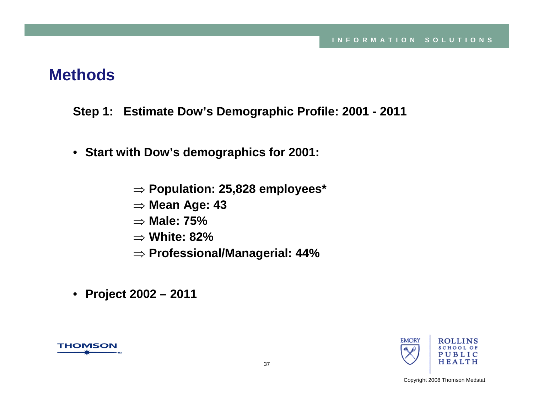- **Step 1: Estimate Dow's Demographic Profile: 2001 - 2011**
- **Start with Dow's demographics for 2001:**
	- ⇒ **Population: 25,828 employees\***
	- ⇒ **Mean Age: 43**
	- ⇒ **Male: 75%**
	- ⇒ **White: 82%**
	- ⇒ **Professional/Managerial: 44%**
- **Project 2002 – 2011**



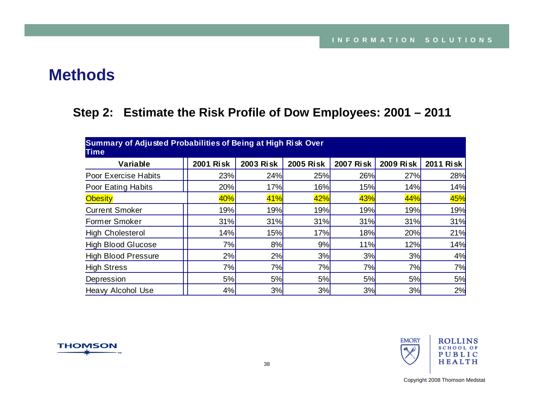#### **Step 2: Estimate the Risk Profile of Dow Employees: 2001 – 2011**

| Summary of Adjusted Probabilities of Being at High Risk Over<br><b>Time</b> |                  |                  |                  |                  |                  |                  |  |  |
|-----------------------------------------------------------------------------|------------------|------------------|------------------|------------------|------------------|------------------|--|--|
| Variable                                                                    | <b>2001 Risk</b> | <b>2003 Risk</b> | <b>2005 Risk</b> | <b>2007 Risk</b> | <b>2009 Risk</b> | <b>2011 Risk</b> |  |  |
| <b>Poor Exercise Habits</b>                                                 | 23%              | 24%              | 25%              | 26%              | 27%              | 28%              |  |  |
| Poor Eating Habits                                                          | 20%              | 17%              | 16%              | <b>15%</b>       | 14%              | 14%              |  |  |
| <b>Obesity</b>                                                              | 40%              | 41%              | 42%              | 43%              | 44%              | 45%              |  |  |
| <b>Current Smoker</b>                                                       | 19%              | <b>19%</b>       | 19%              | 19%              | 19%              | 19%              |  |  |
| <b>Former Smoker</b>                                                        | 31%              | 31%              | 31%              | 31%              | 31%              | 31%              |  |  |
| <b>High Cholesterol</b>                                                     | 14%              | 15%              | 17%              | 18%              | 20%              | 21%              |  |  |
| <b>High Blood Glucose</b>                                                   | 7%               | 8%               | 9%               | 11%              | 12%              | 14%              |  |  |
| <b>High Blood Pressure</b>                                                  | 2%               | 2%               | 3%               | 3%               | 3%               | 4%               |  |  |
| <b>High Stress</b>                                                          | 7%               | 7%               | 7%               | 7%               | 7%               | 7%               |  |  |
| Depression                                                                  | 5%               | 5%               | 5%               | 5%               | 5%               | 5%               |  |  |
| <b>Heavy Alcohol Use</b>                                                    | 4%               | 3%               | 3%               | 3%               | 3%               | 2%               |  |  |



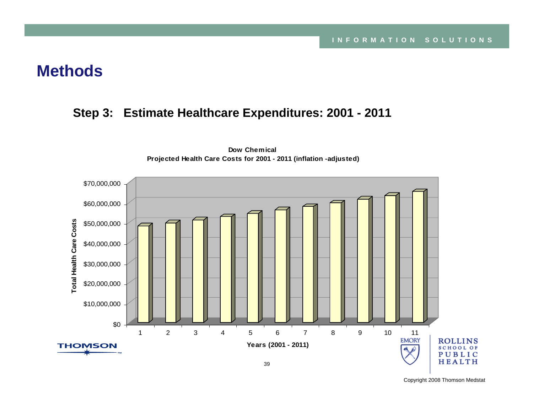#### **Step 3: Estimate Healthcare Expenditures: 2001 - 2011**



**Dow Chemical Projected Health Care Costs for 2001 - 2011 (inflation -adjusted)**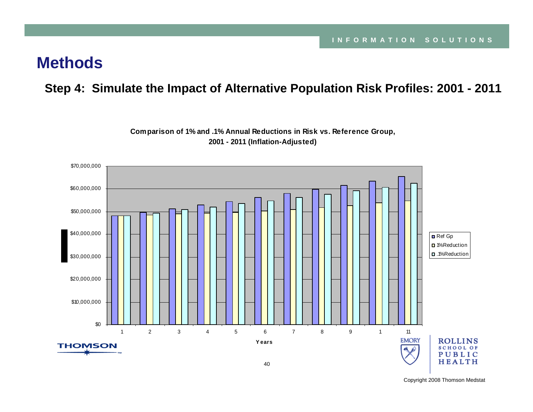#### **Step 4: Simulate the Impact of Alternative Population Risk Profiles: 2001 - 2011**



**Comparison of 1% and .1% Annual Reductions in Risk vs. Reference Group, 2001 - 2011 (Inflation-Adjusted)**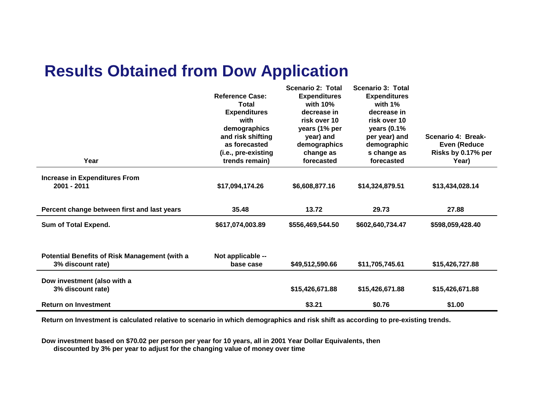# **Results Obtained from Dow Application**

|                                                      |                        | Scenario 2: Total   | <b>Scenario 3: Total</b> |                    |
|------------------------------------------------------|------------------------|---------------------|--------------------------|--------------------|
|                                                      | <b>Reference Case:</b> | <b>Expenditures</b> | <b>Expenditures</b>      |                    |
|                                                      | <b>Total</b>           | with $10\%$         | with $1\%$               |                    |
|                                                      | <b>Expenditures</b>    | decrease in         | decrease in              |                    |
|                                                      | with                   | risk over 10        | risk over 10             |                    |
|                                                      | demographics           | years (1% per       | years (0.1%              |                    |
|                                                      | and risk shifting      | year) and           | per year) and            | Scenario 4: Break- |
|                                                      | as forecasted          | demographics        | demographic              | Even (Reduce       |
|                                                      | (i.e., pre-existing    | change as           | s change as              | Risks by 0.17% per |
| Year                                                 | trends remain)         | forecasted          | forecasted               | Year)              |
| <b>Increase in Expenditures From</b>                 |                        |                     |                          |                    |
| 2001 - 2011                                          | \$17,094,174.26        | \$6,608,877.16      | \$14,324,879.51          | \$13,434,028.14    |
|                                                      |                        |                     |                          |                    |
| Percent change between first and last years          | 35.48                  | 13.72               | 29.73                    | 27.88              |
|                                                      |                        |                     |                          |                    |
| Sum of Total Expend.                                 | \$617,074,003.89       | \$556,469,544.50    | \$602,640,734.47         | \$598,059,428.40   |
|                                                      |                        |                     |                          |                    |
|                                                      |                        |                     |                          |                    |
| <b>Potential Benefits of Risk Management (with a</b> | Not applicable --      |                     |                          |                    |
| 3% discount rate)                                    | base case              | \$49,512,590.66     | \$11,705,745.61          | \$15,426,727.88    |
|                                                      |                        |                     |                          |                    |
| Dow investment (also with a                          |                        |                     |                          |                    |
| 3% discount rate)                                    |                        | \$15,426,671.88     | \$15,426,671.88          | \$15,426,671.88    |
|                                                      |                        |                     |                          |                    |
| <b>Return on Investment</b>                          |                        | \$3.21              | \$0.76                   | \$1.00             |

**Return on Investment is calculated relative to scenario in which demographics and risk shift as according to pre-existing trends.**

**Dow investment based on \$70.02 per person per year for 10 years, all in 2001 Year Dollar Equivalents, then discounted by 3% per year to adjust for the changing value of money over time**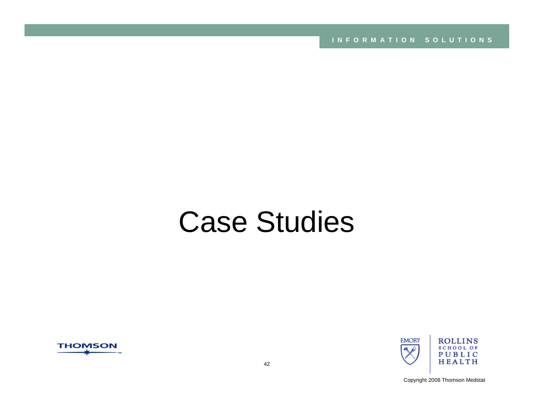**INFORMATION SOLUTIONS**

# Case Studies



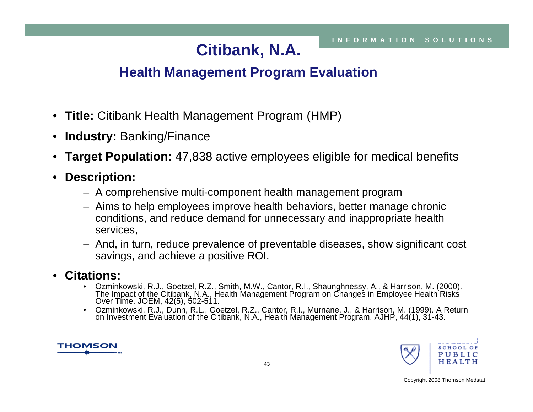# **Citibank, N.A.**

## **Health Management Program Evaluation**

- **Title:** Citibank Health Management Program (HMP)
- $\bullet$ **Industry:** Banking/Finance
- $\bullet$ **Target Population:** 47,838 active employees eligible for medical benefits
- $\bullet$  **Description:**
	- A comprehensive multi-component health management program
	- Aims to help employees improve health behaviors, better manage chronic conditions, and reduce demand for unnecessary and inappropriate health services,
	- And, in turn, reduce prevalence of preventable diseases, show significant cost savings, and achieve a positive ROI.
- $\bullet$  **Citations:**
	- •Ozminkowski, R.J., Goetzel, R.Z., Smith, M.W., Cantor, R.I., Shaunghnessy, A., & Harrison, M. (2000).<br>The Impact of the Citibank, N.A., Health Management Program on Changes in Employee Health Risks<br>Over Time. JOEM, 42(5),
	- Ozminkowski, R.J., Dunn, R.L., Goetzel, R.Z., Cantor, R.I., Murnane, J., & Harrison, M. (1999). A Return on Investment Evaluation of the Citibank, N.A., Health Management Program. AJHP, 44(1), 31-43.



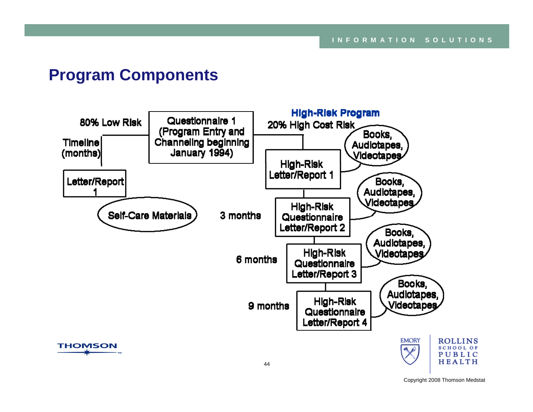## **Program Components**

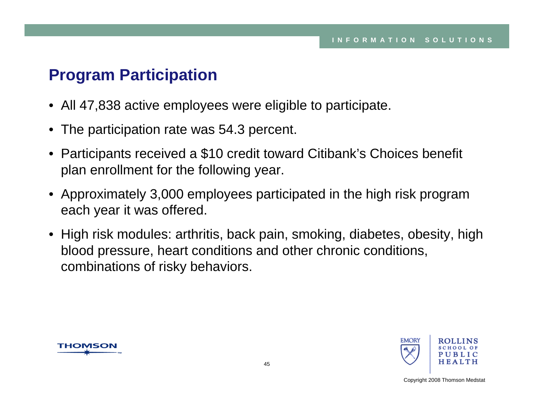# **Program Participation**

- All 47,838 active employees were eligible to participate.
- The participation rate was 54.3 percent.
- Participants received a \$10 credit toward Citibank's Choices benefit plan enrollment for the following year.
- Approximately 3,000 employees participated in the high risk program each year it was offered.
- High risk modules: arthritis, back pain, smoking, diabetes, obesity, high blood pressure, heart conditions and other chronic conditions, combinations of risky behaviors.



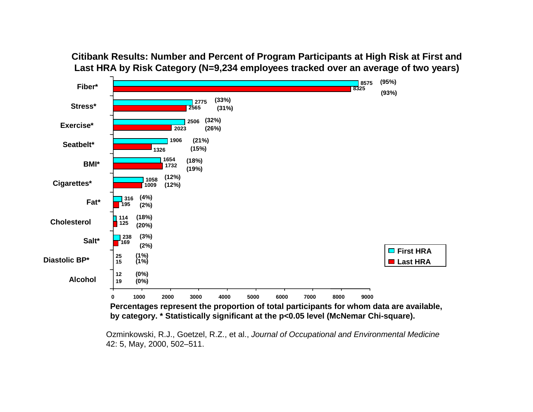

**Citibank Results: Number and Percent of Program Participants at High Risk at First and Last HRA by Risk Category (N=9,234 employees tracked over an average of two years)**

Ozminkowski, R.J., Goetzel, R.Z., et al., *Journal of Occupational and Environmental Medicine* 42: 5, May, 2000, 502–511.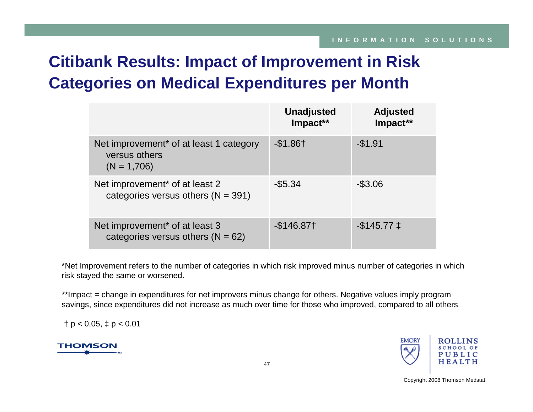# **Citibank Results: Impact of Improvement in Risk Categories on Medical Expenditures per Month**

|                                                                                       | <b>Unadjusted</b><br>Impact** | <b>Adjusted</b><br>Impact** |
|---------------------------------------------------------------------------------------|-------------------------------|-----------------------------|
| Net improvement <sup>*</sup> of at least 1 category<br>versus others<br>$(N = 1,706)$ | $-$1.86+$                     | $-$1.91$                    |
| Net improvement <sup>*</sup> of at least 2<br>categories versus others $(N = 391)$    | $-$ \$5.34                    | $-$ \$3.06                  |
| Net improvement <sup>*</sup> of at least 3<br>categories versus others ( $N = 62$ )   | $-$ \$146.87†                 | $-$ \$145.77 $\pm$          |

\*Net Improvement refers to the number of categories in which risk improved minus number of categories in which risk stayed the same or worsened.

\*\*Impact = change in expenditures for net improvers minus change for others. Negative values imply program savings, since expenditures did not increase as much over time for those who improved, compared to all others

 $\uparrow$  p < 0.05,  $\uparrow$  p < 0.01

**THOMSON** 

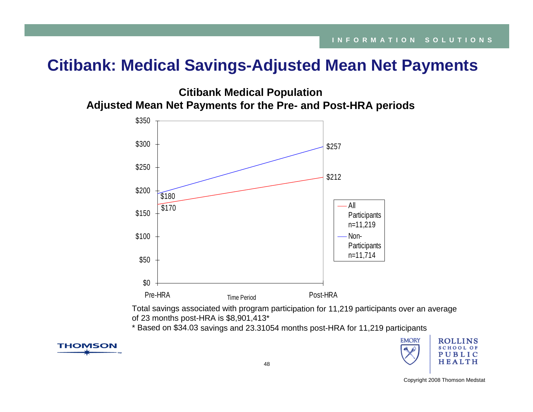## **Citibank: Medical Savings-Adjusted Mean Net Payments**

**Citibank Medical Population Adjusted Mean Net Payments for the Pre- and Post-HRA periods**



Total savings associated with program participation for 11,219 participants over an average of 23 months post-HRA is \$8,901,413\*

\* Based on \$34.03 savings and 23.31054 months post-HRA for 11,219 participants



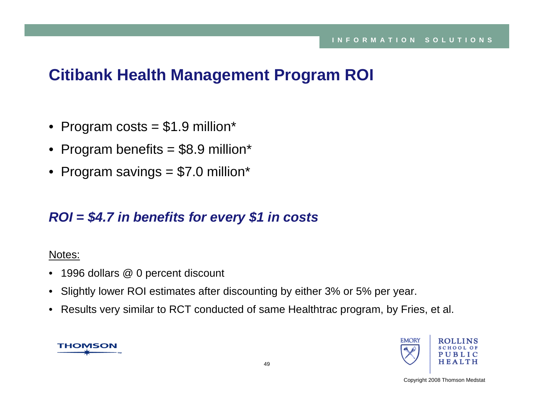# **Citibank Health Management Program ROI**

- Program costs = \$1.9 million\*
- Program benefits = \$8.9 million\*
- Program savings = \$7.0 million\*

## *ROI = \$4.7 in benefits for every \$1 in costs*

#### Notes:

- 1996 dollars @ 0 percent discount
- Slightly lower ROI estimates after discounting by either 3% or 5% per year.
- Results very similar to RCT conducted of same Healthtrac program, by Fries, et al.



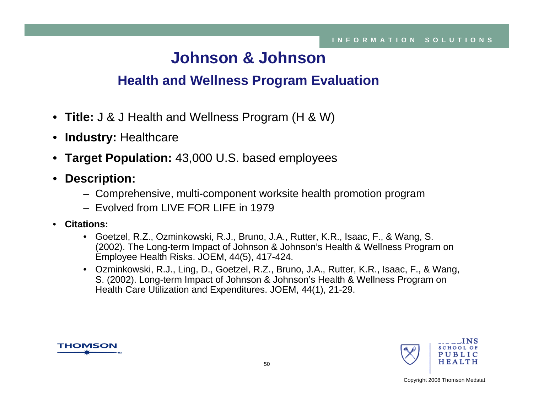# **Johnson & Johnson**

## **Health and Wellness Program Evaluation**

- **Title:** J & J Health and Wellness Program (H & W)
- **Industry:** Healthcare
- **Target Population:** 43,000 U.S. based employees
- $\bullet$  **Description:**
	- Comprehensive, multi-component worksite health promotion program
	- Evolved from LIVE FOR LIFE in 1979
- • **Citations:**
	- Goetzel, R.Z., Ozminkowski, R.J., Bruno, J.A., Rutter, K.R., Isaac, F., & Wang, S. (2002). The Long-term Impact of Johnson & Johnson's Health & Wellness Program on Employee Health Risks. JOEM, 44(5), 417-424.
	- Ozminkowski, R.J., Ling, D., Goetzel, R.Z., Bruno, J.A., Rutter, K.R., Isaac, F., & Wang, S. (2002). Long-term Impact of Johnson & Johnson's Health & Wellness Program on Health Care Utilization and Expenditures. JOEM, 44(1), 21-29.



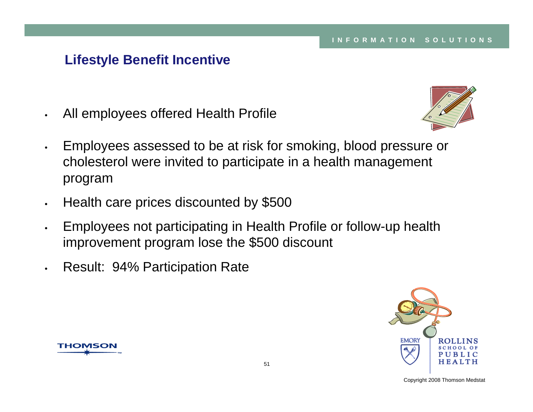#### **Lifestyle Benefit Incentive**

•All employees offered Health Profile



- • Employees assessed to be at risk for smoking, blood pressure or cholesterol were invited to participate in a health management program
- $\bullet$ Health care prices discounted by \$500
- $\bullet$  Employees not participating in Health Profile or follow-up health improvement program lose the \$500 discount
- •Result: 94% Participation Rate



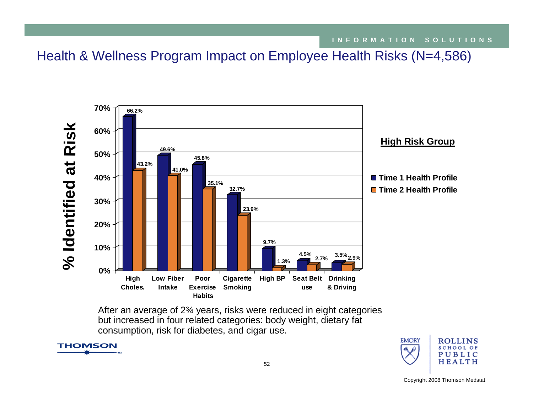Health & Wellness Program Impact on Employee Health Risks (N=4,586)



After an average of 2¾ years, risks were reduced in eight categories but increased in four related categories: body weight, dietary fat consumption, risk for diabetes, and cigar use.



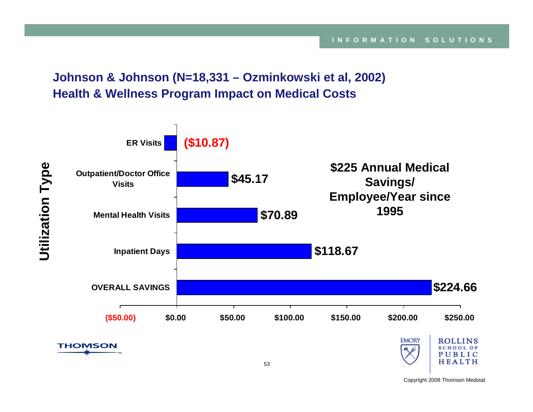**Johnson & Johnson (N=18,331 – Ozminkowski et al, 2002) Health & Wellness Program Impact on Medical Costs**

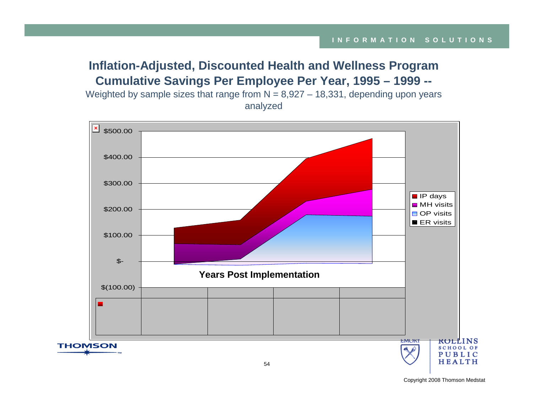#### **Inflation-Adjusted, Discounted Health and Wellness Program Cumulative Savings Per Employee Per Year, 1995 – 1999 --** Weighted by sample sizes that range from  $N = 8,927 - 18,331$ , depending upon years

analyzed **x** \$500.00 \$400.00 \$300.00  $\blacksquare$  IP days **MH** visits \$200.00  $\Box$  OP visits ER visits \$100.00 \$- **Years Post Implementation**\$(100.00) EMORY <del>roll</del>ins **THOMSON SCHOOL OF** PUBLIC **HEALTH**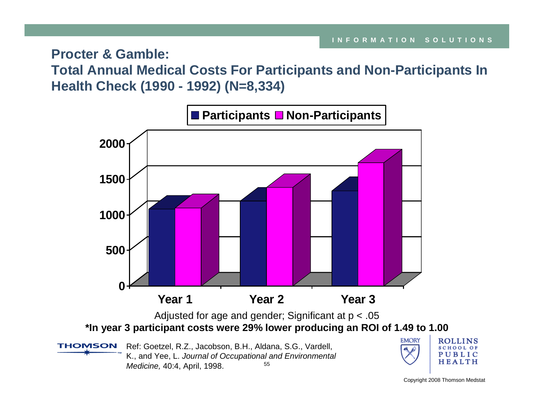**Procter & Gamble:** 

**Total Annual Medical Costs For Participants and Non-Participants In Health Check (1990 - 1992) (N=8,334)**

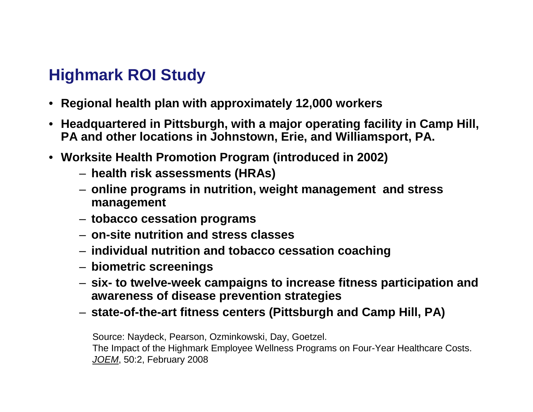# **Highmark ROI Study**

- **Regional health plan with approximately 12,000 workers**
- **Headquartered in Pittsburgh, with a major operating facility in Camp Hill, PA and other locations in Johnstown, Erie, and Williamsport, PA.**
- **Worksite Health Promotion Program (introduced in 2002)**
	- **health risk assessments (HRAs)**
	- **online programs in nutrition, weight management and stress management**
	- **tobacco cessation programs**
	- **on-site nutrition and stress classes**
	- **individual nutrition and tobacco cessation coaching**
	- **biometric screenings**
	- **six- to twelve-week campaigns to increase fitness participation and awareness of disease prevention strategies**
	- **state-of-the-art fitness centers (Pittsburgh and Camp Hill, PA)**

Source: Naydeck, Pearson, Ozminkowski, Day, Goetzel. The Impact of the Highmark Employee Wellness Programs on Four-Year Healthcare Costs. *JOEM*, 50:2, February 2008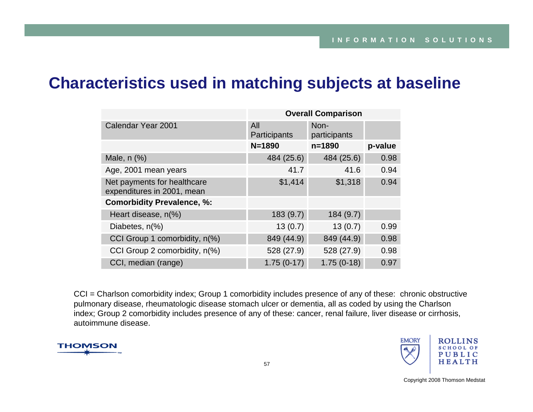## **Characteristics used in matching subjects at baseline**

|                                                           | <b>Overall Comparison</b> |                      |         |  |  |
|-----------------------------------------------------------|---------------------------|----------------------|---------|--|--|
| Calendar Year 2001                                        | All<br>Participants       | Non-<br>participants |         |  |  |
|                                                           | $N = 1890$                | $n = 1890$           | p-value |  |  |
| Male, $n$ $%$                                             | 484 (25.6)                | 484 (25.6)           | 0.98    |  |  |
| Age, 2001 mean years                                      | 41.7                      | 41.6                 | 0.94    |  |  |
| Net payments for healthcare<br>expenditures in 2001, mean | \$1,414                   | \$1,318              | 0.94    |  |  |
| <b>Comorbidity Prevalence, %:</b>                         |                           |                      |         |  |  |
| Heart disease, n(%)                                       | 183(9.7)                  | 184(9.7)             |         |  |  |
| Diabetes, n(%)                                            | 13(0.7)                   | 13(0.7)              | 0.99    |  |  |
| CCI Group 1 comorbidity, n(%)                             | 849 (44.9)                | 849 (44.9)           | 0.98    |  |  |
| CCI Group 2 comorbidity, n(%)                             | 528 (27.9)                | 528 (27.9)           | 0.98    |  |  |
| CCI, median (range)                                       | $1.75(0-17)$              | $1.75(0-18)$         | 0.97    |  |  |

CCI = Charlson comorbidity index; Group 1 comorbidity includes presence of any of these: chronic obstructive pulmonary disease, rheumatologic disease stomach ulcer or dementia, all as coded by using the Charlson index; Group 2 comorbidity includes presence of any of these: cancer, renal failure, liver disease or cirrhosis, autoimmune disease.



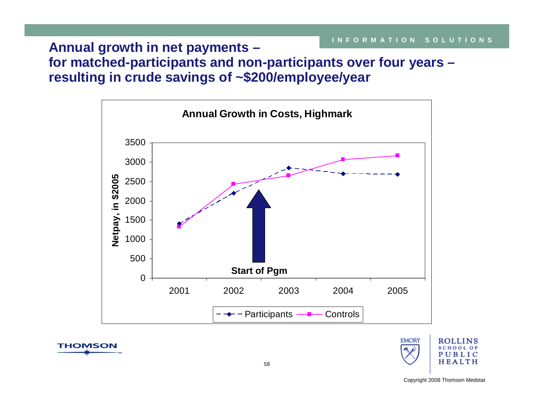**Annual growth in net payments – for matched-participants and non-participants over four years – resulting in crude savings of ~\$200/employee/year**







**THOMSON**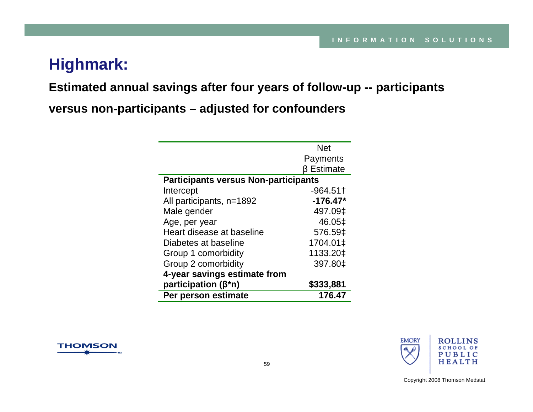# **Highmark:**

#### **Estimated annual savings after four years of follow-up -- participants**

**versus non-participants – adjusted for confounders**

|                                             | <b>Net</b> |  |  |  |
|---------------------------------------------|------------|--|--|--|
|                                             | Payments   |  |  |  |
|                                             | β Estimate |  |  |  |
| <b>Participants versus Non-participants</b> |            |  |  |  |
| Intercept                                   | $-964.51$  |  |  |  |
| All participants, n=1892                    | $-176.47*$ |  |  |  |
| Male gender                                 | 497.09‡    |  |  |  |
| Age, per year                               | 46.05‡     |  |  |  |
| Heart disease at baseline                   | 576.59‡    |  |  |  |
| Diabetes at baseline                        | 1704.01‡   |  |  |  |
| Group 1 comorbidity                         | 1133.20‡   |  |  |  |
| Group 2 comorbidity                         | 397.80‡    |  |  |  |
| 4-year savings estimate from                |            |  |  |  |
| participation ( $\beta^*$ n)                | \$333,881  |  |  |  |
| Per person estimate                         | 176.47     |  |  |  |



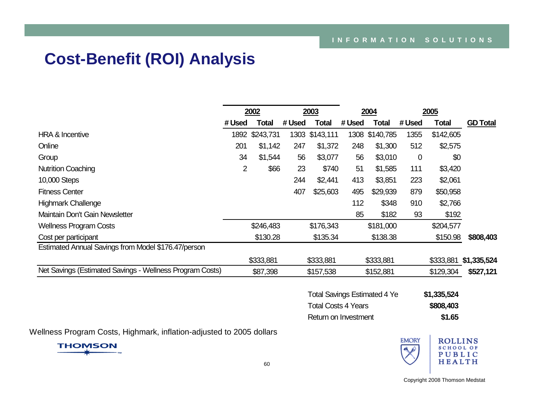# **Cost-Benefit (ROI) Analysis**

|                                                          | 2002   |                | 2003   |           | 2004   |                | 2005  |           |                 |
|----------------------------------------------------------|--------|----------------|--------|-----------|--------|----------------|-------|-----------|-----------------|
|                                                          | # Used | Total          | # Used | Total     | # Used | Total          | #Used | Total     | <b>GD Total</b> |
| <b>HRA &amp; Incentive</b>                               |        | 1892 \$243,731 | 1303   | \$143,111 |        | 1308 \$140,785 | 1355  | \$142,605 |                 |
| Online                                                   | 201    | \$1,142        | 247    | \$1,372   | 248    | \$1,300        | 512   | \$2,575   |                 |
| Group                                                    | 34     | \$1,544        | 56     | \$3,077   | 56     | \$3,010        | 0     | \$0       |                 |
| <b>Nutrition Coaching</b>                                | 2      | \$66           | 23     | \$740     | 51     | \$1,585        | 111   | \$3,420   |                 |
| 10,000 Steps                                             |        |                | 244    | \$2,441   | 413    | \$3,851        | 223   | \$2,061   |                 |
| <b>Fitness Center</b>                                    |        |                | 407    | \$25,603  | 495    | \$29,939       | 879   | \$50,958  |                 |
| <b>Highmark Challenge</b>                                |        |                |        |           | 112    | \$348          | 910   | \$2,766   |                 |
| Maintain Don't Gain Newsletter                           |        |                |        |           | 85     | \$182          | 93    | \$192     |                 |
| <b>Wellness Program Costs</b>                            |        | \$246,483      |        | \$176,343 |        | \$181,000      |       | \$204,577 |                 |
| Cost per participant                                     |        | \$130.28       |        | \$135.34  |        | \$138.38       |       | \$150.98  | \$808,403       |
| Estimated Annual Savings from Model \$176.47/person      |        |                |        |           |        |                |       |           |                 |
|                                                          |        | \$333,881      |        | \$333,881 |        | \$333,881      |       | \$333,881 | \$1,335,524     |
| Net Savings (Estimated Savings - Wellness Program Costs) |        | \$87,398       |        | \$157,538 |        | \$152,881      |       | \$129,304 | \$527,121       |

| <b>Total Savings Estimated 4 Ye</b> | \$1,335,524 |
|-------------------------------------|-------------|
| <b>Total Costs 4 Years</b>          | \$808,403   |
| Return on Investment                | \$1.65      |

Wellness Program Costs, Highmark, inflation-adjusted to 2005 dollars



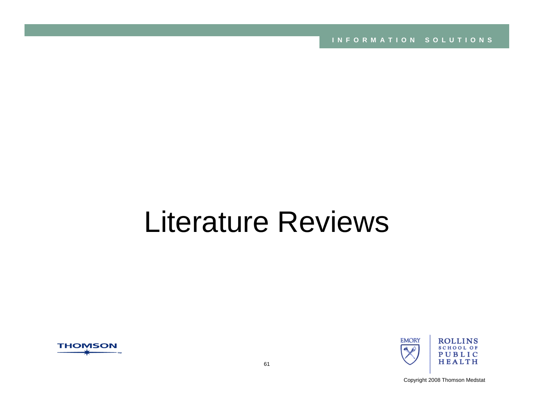**INFORMATION SOLUTIONS**

# Literature Reviews



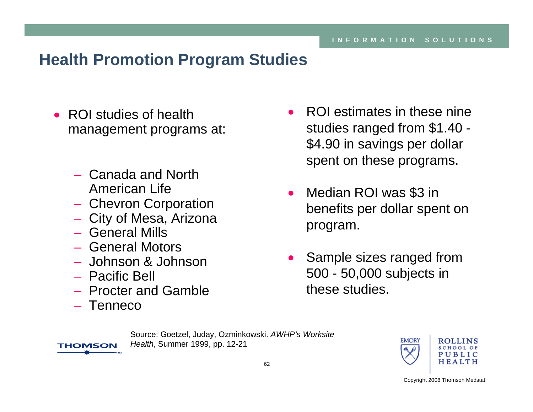# **Health Promotion Program Studies**

- ROI studies of health management programs at:
	- Canada and North American Life
	- Chevron Corporation
	- City of Mesa, Arizona
	- General Mills
	- General Motors
	- Johnson & Johnson
	- Pacific Bell
	- Procter and Gamble
	- Tenneco

**THOMSON** 

- ROI estimates in these nine studies ranged from \$1.40 - \$4.90 in savings per dollar spent on these programs.
- • Median ROI was \$3 in benefits per dollar spent on program.
- • Sample sizes ranged from 500 - 50,000 subjects in these studies.

Source: Goetzel, Juday, Ozminkowski. *AWHP's Worksite Health*, Summer 1999, pp. 12-21

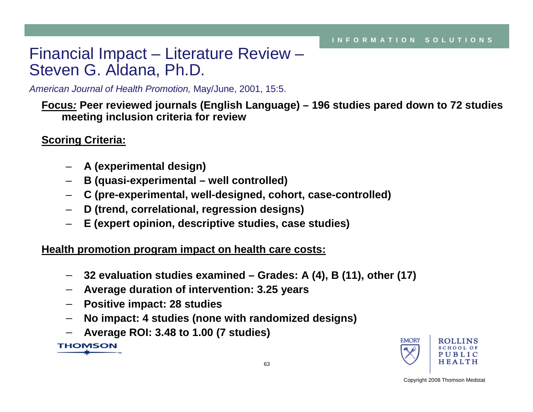# Financial Impact – Literature Review – Steven G. Aldana, Ph.D.

*American Journal of Health Promotion,* May/June, 2001, 15:5.

**Focus***:* **Peer reviewed journals (English Language) – 196 studies pared down to 72 studies meeting inclusion criteria for review**

#### **Scoring Criteria:**

- **A (experimental design)**
- **B (quasi-experimental – well controlled)**
- **C (pre-experimental, well-designed, cohort, case-controlled)**
- **D (trend, correlational, regression designs)**
- **E (expert opinion, descriptive studies, case studies)**

**Health promotion program impact on health care costs:**

- − **32 evaluation studies examined – Grades: A (4), B (11), other (17)**
- − **Average duration of intervention: 3.25 years**
- − **Positive impact: 28 studies**
- −**No impact: 4 studies (none with randomized designs)**
- −**Average ROI: 3.48 to 1.00 (7 studies)**

**THOMSON** 

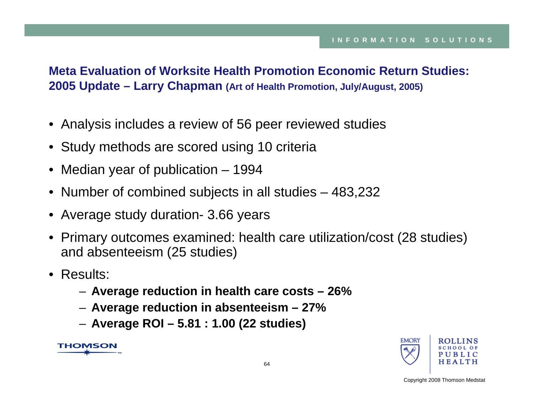#### **Meta Evaluation of Worksite Health Promotion Economic Return Studies: 2005 Update – Larry Chapman (Art of Health Promotion, July/August, 2005)**

- Analysis includes a review of 56 peer reviewed studies
- Study methods are scored using 10 criteria
- Median year of publication 1994
- Number of combined subjects in all studies 483,232
- Average study duration- 3.66 years
- Primary outcomes examined: health care utilization/cost (28 studies) and absenteeism (25 studies)
- Results:
	- **Average reduction in health care costs – 26%**
	- **Average reduction in absenteeism – 27%**
	- **Average ROI – 5.81 : 1.00 (22 studies)**

**THOMSON** 

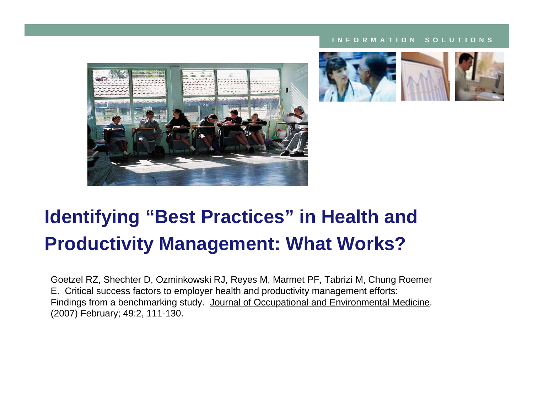#### **INFORMATION SOLUTIONS**







# **Identifying "Best Practices" in Health and Productivity Management: What Works?**

Goetzel RZ, Shechter D, Ozminkowski RJ, Reyes M, Marmet PF, Tabrizi M, Chung Roemer E. Critical success factors to employer health and productivity management efforts: Findings from a benchmarking study. Journal of Occupational and Environmental Medicine. (2007) February; 49:2, 111-130.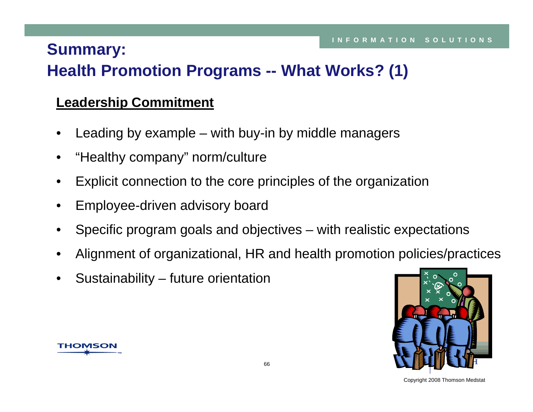# **Summary:**

# **Health Promotion Programs -- What Works? (1)**

## **Leadership Commitment**

- •Leading by example – with buy-in by middle managers
- •"Healthy company" norm/culture
- •Explicit connection to the core principles of the organization
- •Employee-driven advisory board
- •Specific program goals and objectives – with realistic expectations
- •Alignment of organizational, HR and health promotion policies/practices
- •Sustainability – future orientation



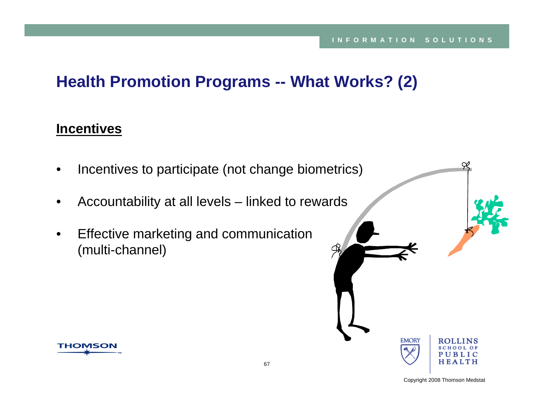# **Health Promotion Programs -- What Works? (2)**

## **Incentives**

- •Incentives to participate (not change biometrics)
- •Accountability at all levels – linked to rewards
- • Effective marketing and communication (multi-channel)





≃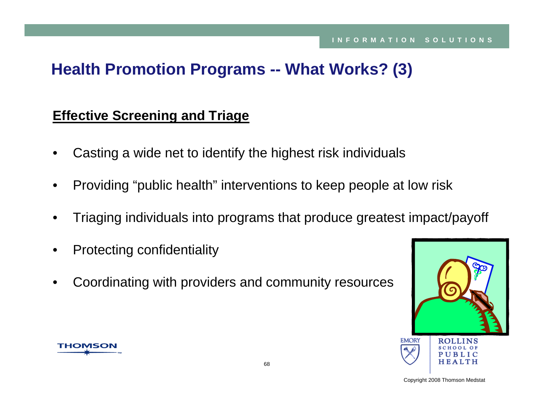# **Health Promotion Programs -- What Works? (3)**

#### **Effective Screening and Triage**

- •Casting a wide net to identify the highest risk individuals
- •Providing "public health" interventions to keep people at low risk
- •Triaging individuals into programs that produce greatest impact/payoff
- •Protecting confidentiality
- •Coordinating with providers and community resources



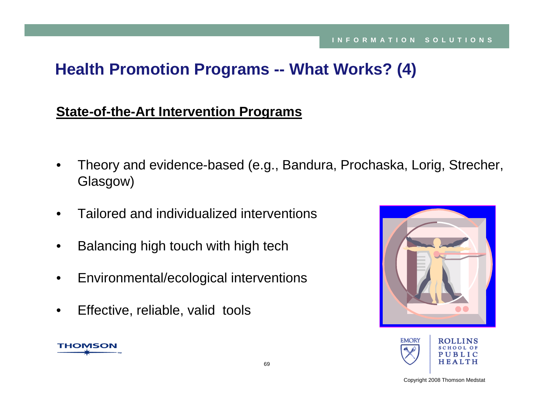# **Health Promotion Programs -- What Works? (4)**

## **State-of-the-Art Intervention Programs**

- • Theory and evidence-based (e.g., Bandura, Prochaska, Lorig, Strecher, Glasgow)
- •Tailored and individualized interventions
- •Balancing high touch with high tech
- •Environmental/ecological interventions
- •Effective, reliable, valid tools

**THOMSON** 



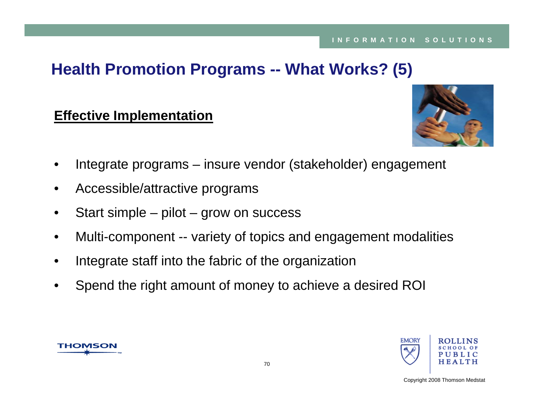# **Health Promotion Programs -- What Works? (5)**

### **Effective Implementation**



- •Integrate programs – insure vendor (stakeholder) engagement
- •Accessible/attractive programs
- •Start simple – pilot – grow on success
- •Multi-component -- variety of topics and engagement modalities
- •Integrate staff into the fabric of the organization
- •Spend the right amount of money to achieve a desired ROI



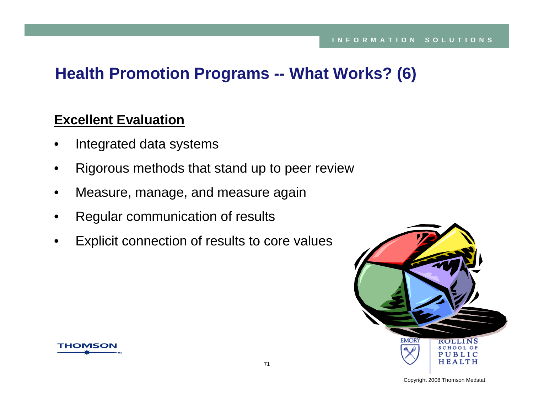# **Health Promotion Programs -- What Works? (6)**

#### **Excellent Evaluation**

- •Integrated data systems
- •Rigorous methods that stand up to peer review
- •Measure, manage, and measure again
- •Regular communication of results
- •Explicit connection of results to core values



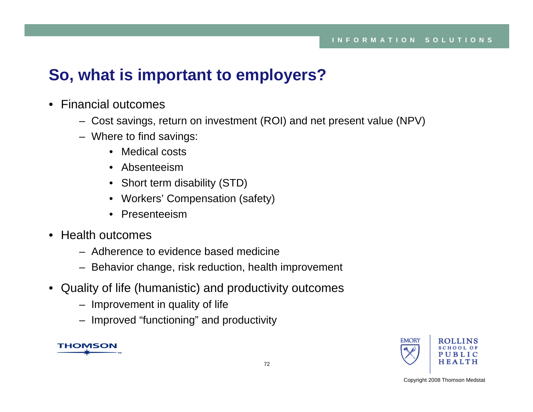# **So, what is important to employers?**

- Financial outcomes
	- Cost savings, return on investment (ROI) and net present value (NPV)
	- Where to find savings:
		- Medical costs
		- Absenteeism
		- Short term disability (STD)
		- Workers' Compensation (safety)
		- Presenteeism
- Health outcomes
	- Adherence to evidence based medicine
	- Behavior change, risk reduction, health improvement
- Quality of life (humanistic) and productivity outcomes
	- Improvement in quality of life
	- Improved "functioning" and productivity



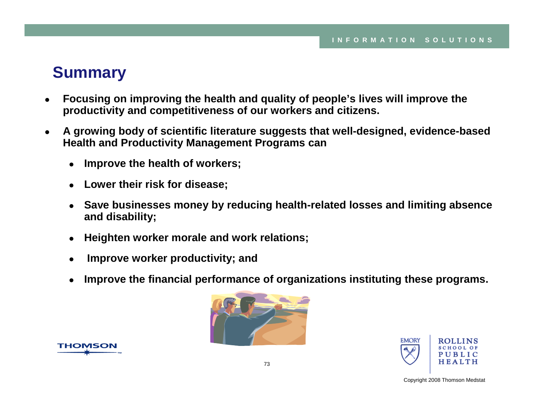## **Summary**

- $\bullet$  **Focusing on improving the health and quality of people's lives will improve the productivity and competitiveness of our workers and citizens.**
- $\bullet$  **A growing body of scientific literature suggests that well-designed, evidence-based Health and Productivity Management Programs can** 
	- O **Improve the health of workers;**
	- $\bullet$ **Lower their risk for disease;**
	- o **Save businesses money by reducing health-related losses and limiting absence and disability;**
	- O **Heighten worker morale and work relations;**
	- o **Improve worker productivity; and**
	- O **Improve the financial performance of organizations instituting these programs.**